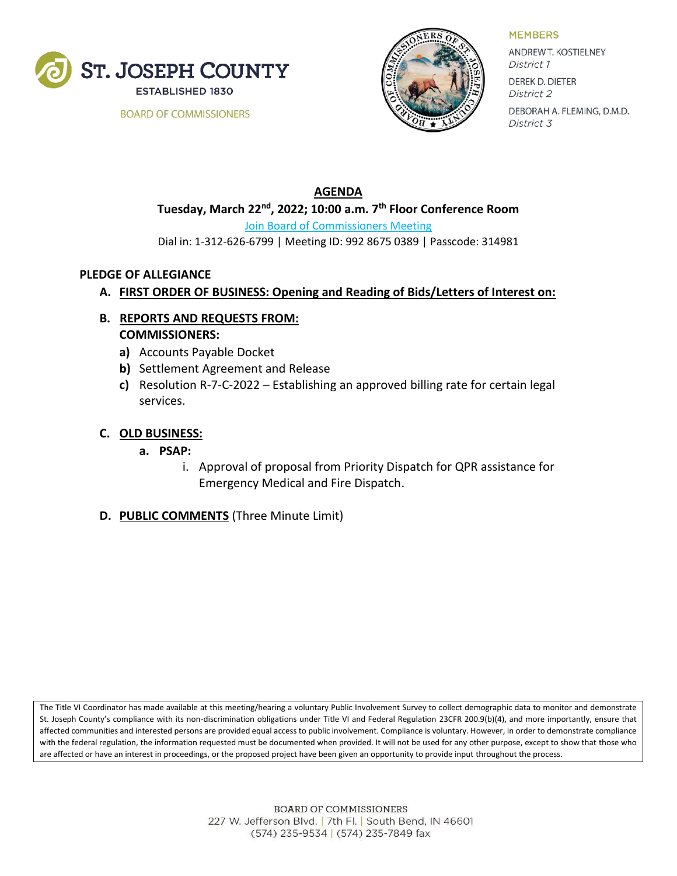

**BOARD OF COMMISSIONERS** 



**MEMBERS** 

ANDREW T. KOSTIELNEY District 1 **DEREK D. DIETER** 

District 2 DEBORAH A. FLEMING, D.M.D. District 3

## **AGENDA Tuesday, March 22nd, 2022; 10:00 a.m. 7 th Floor Conference Room** [Join Board of Commissioners Meeting](https://zoom.us/j/92870223627?pwd=a3NXOUd6SGFDWjFvVktjZFQ5S3lYZz09) Dial in: 1-312-626-6799 | Meeting ID: 992 8675 0389 | Passcode: 314981

#### **PLEDGE OF ALLEGIANCE**

### **A. FIRST ORDER OF BUSINESS: Opening and Reading of Bids/Letters of Interest on:**

- **B. REPORTS AND REQUESTS FROM: COMMISSIONERS:**
	- **a)** Accounts Payable Docket
	- **b)** Settlement Agreement and Release
	- **c)** Resolution R-7-C-2022 Establishing an approved billing rate for certain legal services.

#### **C. OLD BUSINESS:**

- **a. PSAP:**
	- i. Approval of proposal from Priority Dispatch for QPR assistance for Emergency Medical and Fire Dispatch.
- **D. PUBLIC COMMENTS** (Three Minute Limit)

The Title VI Coordinator has made available at this meeting/hearing a voluntary Public Involvement Survey to collect demographic data to monitor and demonstrate St. Joseph County's compliance with its non-discrimination obligations under Title VI and Federal Regulation 23CFR 200.9(b)(4), and more importantly, ensure that affected communities and interested persons are provided equal access to public involvement. Compliance is voluntary. However, in order to demonstrate compliance with the federal regulation, the information requested must be documented when provided. It will not be used for any other purpose, except to show that those who are affected or have an interest in proceedings, or the proposed project have been given an opportunity to provide input throughout the process.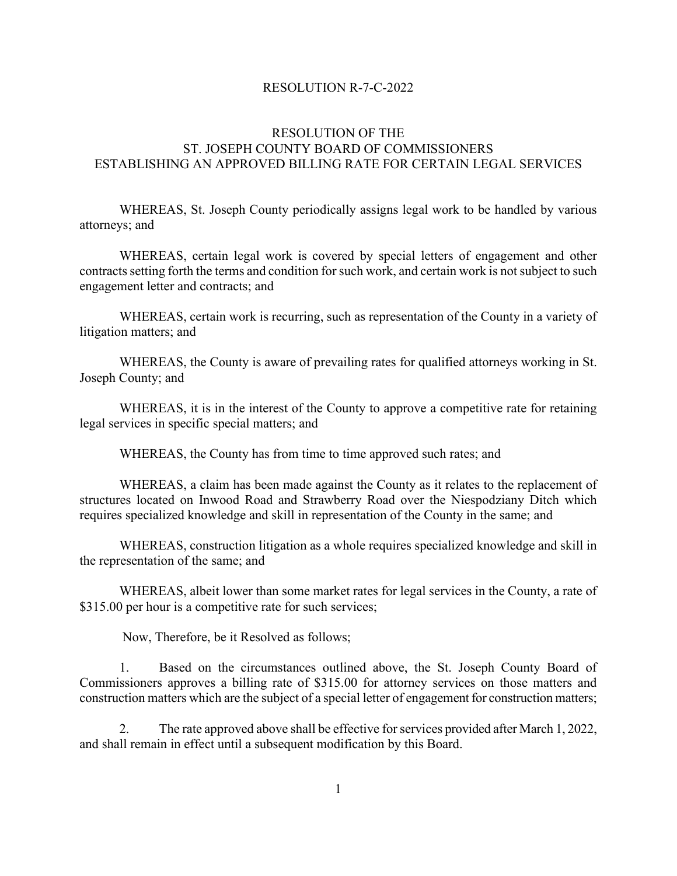#### RESOLUTION R-7-C-2022

### RESOLUTION OF THE ST. JOSEPH COUNTY BOARD OF COMMISSIONERS ESTABLISHING AN APPROVED BILLING RATE FOR CERTAIN LEGAL SERVICES

WHEREAS, St. Joseph County periodically assigns legal work to be handled by various attorneys; and

WHEREAS, certain legal work is covered by special letters of engagement and other contracts setting forth the terms and condition for such work, and certain work is not subject to such engagement letter and contracts; and

WHEREAS, certain work is recurring, such as representation of the County in a variety of litigation matters; and

WHEREAS, the County is aware of prevailing rates for qualified attorneys working in St. Joseph County; and

WHEREAS, it is in the interest of the County to approve a competitive rate for retaining legal services in specific special matters; and

WHEREAS, the County has from time to time approved such rates; and

WHEREAS, a claim has been made against the County as it relates to the replacement of structures located on Inwood Road and Strawberry Road over the Niespodziany Ditch which requires specialized knowledge and skill in representation of the County in the same; and

WHEREAS, construction litigation as a whole requires specialized knowledge and skill in the representation of the same; and

WHEREAS, albeit lower than some market rates for legal services in the County, a rate of \$315.00 per hour is a competitive rate for such services;

Now, Therefore, be it Resolved as follows;

1. Based on the circumstances outlined above, the St. Joseph County Board of Commissioners approves a billing rate of \$315.00 for attorney services on those matters and construction matters which are the subject of a special letter of engagement for construction matters;

2. The rate approved above shall be effective for services provided after March 1, 2022, and shall remain in effect until a subsequent modification by this Board.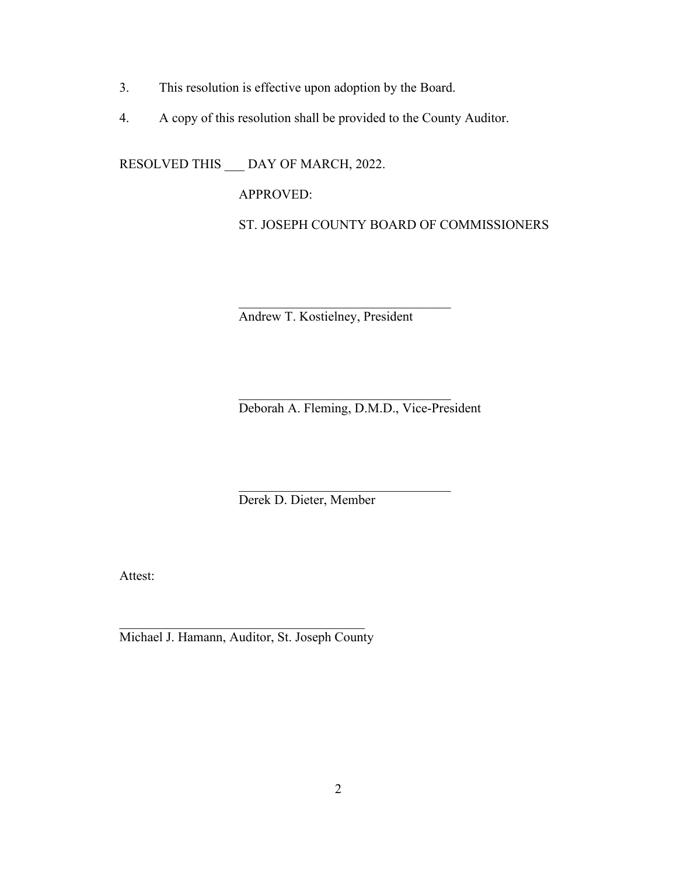- 3. This resolution is effective upon adoption by the Board.
- 4. A copy of this resolution shall be provided to the County Auditor.

RESOLVED THIS \_\_\_ DAY OF MARCH, 2022.

APPROVED:

ST. JOSEPH COUNTY BOARD OF COMMISSIONERS

Andrew T. Kostielney, President

 $\overline{\phantom{a}}$ 

Deborah A. Fleming, D.M.D., Vice-President

 $\overline{\phantom{a}}$  , which is a set of the set of the set of the set of the set of the set of the set of the set of the set of the set of the set of the set of the set of the set of the set of the set of the set of the set of th

\_\_\_\_\_\_\_\_\_\_\_\_\_\_\_\_\_\_\_\_\_\_\_\_\_\_\_\_\_\_\_\_

Derek D. Dieter, Member

Attest:

\_\_\_\_\_\_\_\_\_\_\_\_\_\_\_\_\_\_\_\_\_\_\_\_\_\_\_\_\_\_\_\_\_\_\_\_\_ Michael J. Hamann, Auditor, St. Joseph County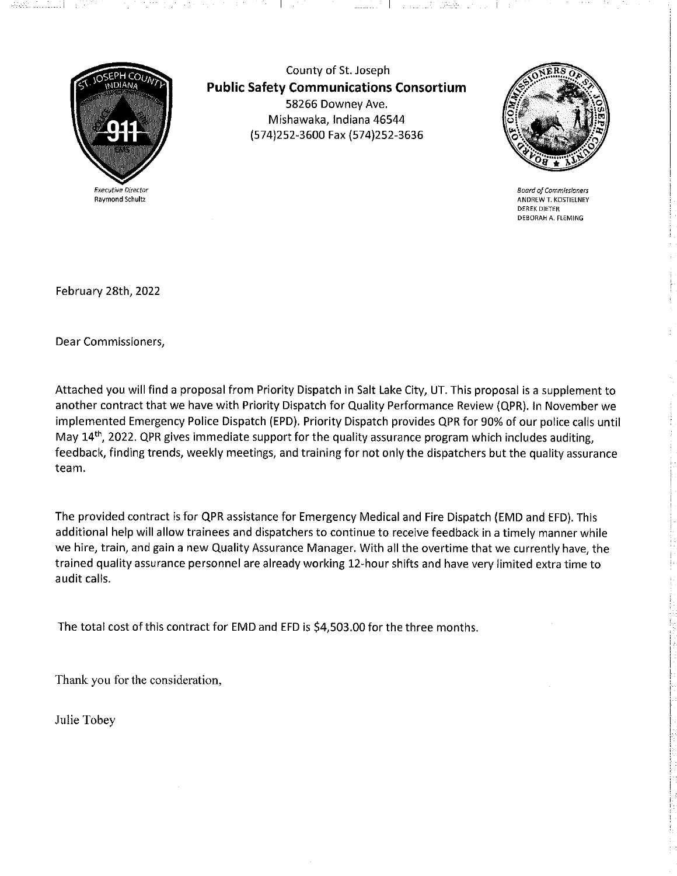

County of St. Joseph **Public Safety Communications Consortium** 58266 Downey Ave. Mishawaka, Indiana 46544 (574)252-3600 Fax (574)252-3636

 $\sim$  100  $\mu$ 

 $\mathbf{I}$ 



**Board of Commissioners** ANDREW T. KOSTIELNEY **DEREK DIETER** DEBORAH A. FLEMING

February 28th, 2022

Dear Commissioners,

Attached you will find a proposal from Priority Dispatch in Salt Lake City, UT. This proposal is a supplement to another contract that we have with Priority Dispatch for Quality Performance Review (QPR). In November we implemented Emergency Police Dispatch (EPD). Priority Dispatch provides QPR for 90% of our police calls until May 14<sup>th</sup>, 2022. QPR gives immediate support for the quality assurance program which includes auditing, feedback, finding trends, weekly meetings, and training for not only the dispatchers but the quality assurance team.

The provided contract is for QPR assistance for Emergency Medical and Fire Dispatch (EMD and EFD). This additional help will allow trainees and dispatchers to continue to receive feedback in a timely manner while we hire, train, and gain a new Quality Assurance Manager. With all the overtime that we currently have, the trained quality assurance personnel are already working 12-hour shifts and have very limited extra time to audit calls.

The total cost of this contract for EMD and EFD is \$4,503.00 for the three months.

Thank you for the consideration,

Julie Tobey